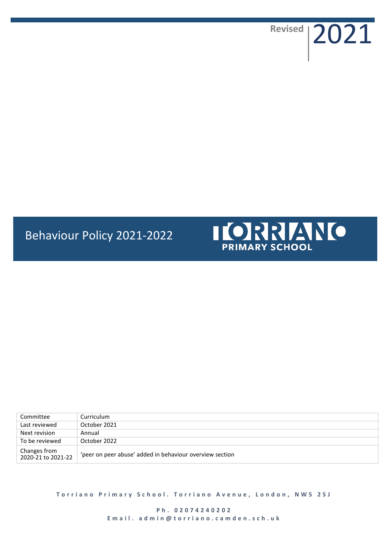**Revised** 2021

**I [O] REALLY TO** 

# Behaviour Policy 2021-2022



**Torriano Primary School. Torriano Avenue, London, NW5 2SJ** 

**P h . 0 2 0 7 4 2 4 0 2 0 2** Email. admin@torriano.camden.sch.uk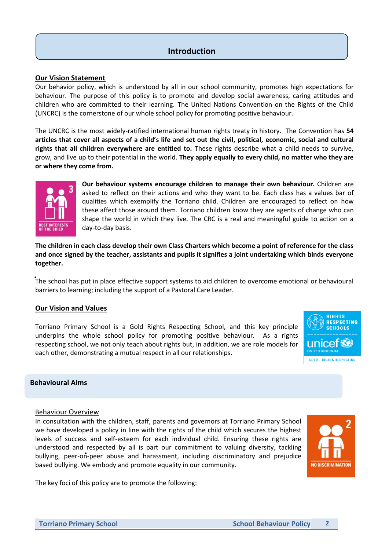## **Introduction**

## **Our Vision Statement**

Our behavior policy, which is understood by all in our school community, promotes high expectations for behaviour. The purpose of this policy is to promote and develop social awareness, caring attitudes and children who are committed to their learning. The United Nations Convention on the Rights of the Child (UNCRC) is the cornerstone of our whole school policy for promoting positive behaviour.

The UNCRC is the most widely-ratified international human rights treaty in history. The Convention has **54 articles that cover all aspects of a child's life and set out the civil, political, economic, social and cultural rights that all children everywhere are entitled to.** These rights describe what a child needs to survive, grow, and live up to their potential in the world. **They apply equally to every child, no matter who they are or where they come from.**



**Our behaviour systems encourage children to manage their own behaviour.** Children are asked to reflect on their actions and who they want to be. Each class has a values bar of qualities which exemplify the Torriano child. Children are encouraged to reflect on how these affect those around them. Torriano children know they are agents of change who can shape the world in which they live. The CRC is a real and meaningful guide to action on a day-to-day basis.

**The children in each class develop their own Class Charters which become a point of reference for the class and once signed by the teacher, assistants and pupils it signifies a joint undertaking which binds everyone together.**

The school has put in place effective support systems to aid children to overcome emotional or behavioural barriers to learning; including the support of a Pastoral Care Leader.

## **Our Vision and Values**

Torriano Primary School is a Gold Rights Respecting School, and this key principle underpins the whole school policy for promoting positive behaviour. As a rights respecting school, we not only teach about rights but, in addition, we are role models for each other, demonstrating a mutual respect in all our relationships.



## **Behavioural Aims**

#### Behaviour Overview

In consultation with the children, staff, parents and governors at Torriano Primary School we have developed a policy in line with the rights of the child which secures the highest levels of success and self-esteem for each individual child. Ensuring these rights are understood and respected by all is part our commitment to valuing diversity, tackling bullying, peer-on-peer abuse and harassment, including discriminatory and prejudice based bullying. We embody and promote equality in our community.



The key foci of this policy are to promote the following: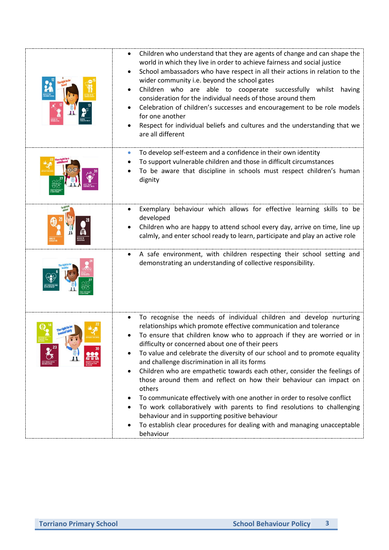| Children who understand that they are agents of change and can shape the<br>world in which they live in order to achieve fairness and social justice<br>School ambassadors who have respect in all their actions in relation to the<br>wider community i.e. beyond the school gates<br>Children who are able to cooperate successfully whilst having<br>consideration for the individual needs of those around them<br>Celebration of children's successes and encouragement to be role models<br>for one another<br>Respect for individual beliefs and cultures and the understanding that we<br>are all different                                                                                                                                                                                                                                                                                |
|----------------------------------------------------------------------------------------------------------------------------------------------------------------------------------------------------------------------------------------------------------------------------------------------------------------------------------------------------------------------------------------------------------------------------------------------------------------------------------------------------------------------------------------------------------------------------------------------------------------------------------------------------------------------------------------------------------------------------------------------------------------------------------------------------------------------------------------------------------------------------------------------------|
| To develop self-esteem and a confidence in their own identity<br>To support vulnerable children and those in difficult circumstances<br>To be aware that discipline in schools must respect children's human<br>dignity                                                                                                                                                                                                                                                                                                                                                                                                                                                                                                                                                                                                                                                                            |
| Exemplary behaviour which allows for effective learning skills to be<br>developed<br>Children who are happy to attend school every day, arrive on time, line up<br>calmly, and enter school ready to learn, participate and play an active role                                                                                                                                                                                                                                                                                                                                                                                                                                                                                                                                                                                                                                                    |
| A safe environment, with children respecting their school setting and<br>$\bullet$<br>demonstrating an understanding of collective responsibility.                                                                                                                                                                                                                                                                                                                                                                                                                                                                                                                                                                                                                                                                                                                                                 |
| To recognise the needs of individual children and develop nurturing<br>relationships which promote effective communication and tolerance<br>To ensure that children know who to approach if they are worried or in<br>difficulty or concerned about one of their peers<br>To value and celebrate the diversity of our school and to promote equality<br>and challenge discrimination in all its forms<br>Children who are empathetic towards each other, consider the feelings of<br>٠<br>those around them and reflect on how their behaviour can impact on<br>others<br>To communicate effectively with one another in order to resolve conflict<br>$\bullet$<br>To work collaboratively with parents to find resolutions to challenging<br>$\bullet$<br>behaviour and in supporting positive behaviour<br>To establish clear procedures for dealing with and managing unacceptable<br>behaviour |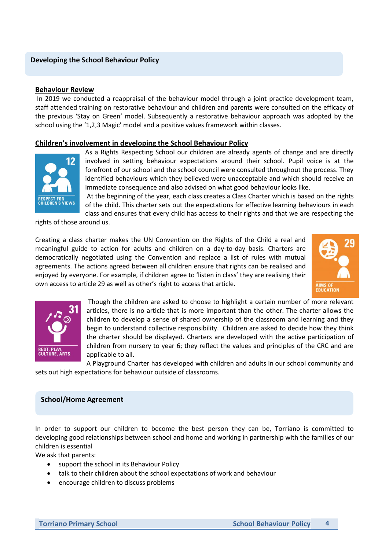## **Developing the School Behaviour Policy**

#### **Behaviour Review**

In 2019 we conducted a reappraisal of the behaviour model through a joint practice development team, staff attended training on restorative behaviour and children and parents were consulted on the efficacy of the previous 'Stay on Green' model. Subsequently a restorative behaviour approach was adopted by the school using the '1,2,3 Magic' model and a positive values framework within classes.

## **Children's involvement in developing the School Behaviour Policy**



As a Rights Respecting School our children are already agents of change and are directly involved in setting behaviour expectations around their school. Pupil voice is at the forefront of our school and the school council were consulted throughout the process. They identified behaviours which they believed were unacceptable and which should receive an immediate consequence and also advised on what good behaviour looks like.

At the beginning of the year, each class creates a Class Charter which is based on the rights of the child. This charter sets out the expectations for effective learning behaviours in each class and ensures that every child has access to their rights and that we are respecting the

rights of those around us.

Creating a class charter makes the UN Convention on the Rights of the Child a real and meaningful guide to action for adults and children on a day-to-day basis. Charters are democratically negotiated using the Convention and replace a list of rules with mutual agreements. The actions agreed between all children ensure that rights can be realised and enjoyed by everyone. For example, if children agree to 'listen in class' they are realising their own access to article 29 as well as other's right to access that article.





Though the children are asked to choose to highlight a certain number of more relevant articles, there is no article that is more important than the other. The charter allows the children to develop a sense of shared ownership of the classroom and learning and they begin to understand collective responsibility. Children are asked to decide how they think the charter should be displayed. Charters are developed with the active participation of children from nursery to year 6; they reflect the values and principles of the CRC and are applicable to all.

A Playground Charter has developed with children and adults in our school community and sets out high expectations for behaviour outside of classrooms.

#### **School/Home Agreement**

In order to support our children to become the best person they can be, Torriano is committed to developing good relationships between school and home and working in partnership with the families of our children is essential

We ask that parents:

- support the school in its Behaviour Policy
- talk to their children about the school expectations of work and behaviour
- encourage children to discuss problems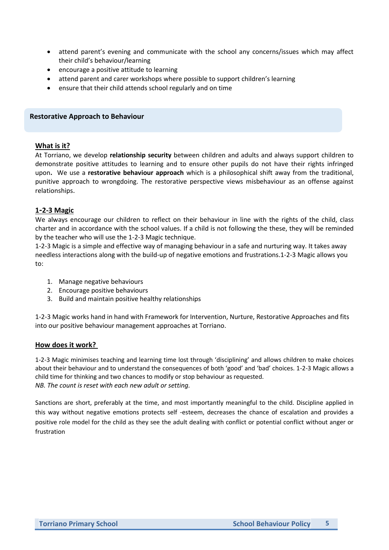- attend parent's evening and communicate with the school any concerns/issues which may affect their child's behaviour/learning
- encourage a positive attitude to learning
- attend parent and carer workshops where possible to support children's learning
- ensure that their child attends school regularly and on time

#### **Restorative Approach to Behaviour**

#### **What is it?**

At Torriano, we develop **relationship security** between children and adults and always support children to demonstrate positive attitudes to learning and to ensure other pupils do not have their rights infringed upon**.** We use a **restorative behaviour approach** which is a philosophical shift away from the traditional, punitive approach to wrongdoing. The restorative perspective views misbehaviour as an offense against relationships.

## **1-2-3 Magic**

We always encourage our children to reflect on their behaviour in line with the rights of the child, class charter and in accordance with the school values. If a child is not following the these, they will be reminded by the teacher who will use the 1-2-3 Magic technique.

1-2-3 Magic is a simple and effective way of managing behaviour in a safe and nurturing way. It takes away needless interactions along with the build-up of negative emotions and frustrations.1-2-3 Magic allows you to:

- 1. Manage negative behaviours
- 2. Encourage positive behaviours
- 3. Build and maintain positive healthy relationships

1-2-3 Magic works hand in hand with Framework for Intervention, Nurture, Restorative Approaches and fits into our positive behaviour management approaches at Torriano.

#### **How does it work?**

1-2-3 Magic minimises teaching and learning time lost through 'disciplining' and allows children to make choices about their behaviour and to understand the consequences of both 'good' and 'bad' choices. 1-2-3 Magic allows a child time for thinking and two chances to modify or stop behaviour as requested. *NB. The count is reset with each new adult or setting.* 

Sanctions are short, preferably at the time, and most importantly meaningful to the child. Discipline applied in this way without negative emotions protects self -esteem, decreases the chance of escalation and provides a positive role model for the child as they see the adult dealing with conflict or potential conflict without anger or frustration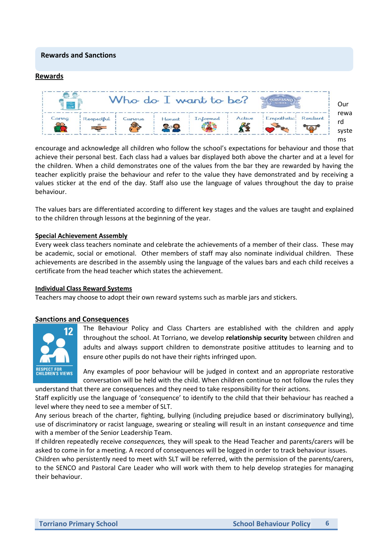## **Rewards and Sanctions**

#### **Rewards**



encourage and acknowledge all children who follow the school's expectations for behaviour and those that achieve their personal best. Each class had a values bar displayed both above the charter and at a level for the children. When a child demonstrates one of the values from the bar they are rewarded by having the teacher explicitly praise the behaviour and refer to the value they have demonstrated and by receiving a values sticker at the end of the day. Staff also use the language of values throughout the day to praise behaviour.

The values bars are differentiated according to different key stages and the values are taught and explained to the children through lessons at the beginning of the year.

#### **Special Achievement Assembly**

Every week class teachers nominate and celebrate the achievements of a member of their class. These may be academic, social or emotional. Other members of staff may also nominate individual children. These achievements are described in the assembly using the language of the values bars and each child receives a certificate from the head teacher which states the achievement.

#### **Individual Class Reward Systems**

Teachers may choose to adopt their own reward systems such as marble jars and stickers.

## **Sanctions and Consequences**



The Behaviour Policy and Class Charters are established with the children and apply throughout the school. At Torriano, we develop **relationship security** between children and adults and always support children to demonstrate positive attitudes to learning and to ensure other pupils do not have their rights infringed upon.

Any examples of poor behaviour will be judged in context and an appropriate restorative conversation will be held with the child. When children continue to not follow the rules they understand that there are consequences and they need to take responsibility for their actions.

Staff explicitly use the language of 'consequence' to identify to the child that their behaviour has reached a level where they need to see a member of SLT.

Any serious breach of the charter, fighting, bullying (including prejudice based or discriminatory bullying), use of discriminatory or racist language, swearing or stealing will result in an instant c*onsequence* and time with a member of the Senior Leadership Team.

If children repeatedly receive *consequences,* they will speak to the Head Teacher and parents/carers will be asked to come in for a meeting. A record of consequences will be logged in order to track behaviour issues.

Children who persistently need to meet with SLT will be referred, with the permission of the parents/carers, to the SENCO and Pastoral Care Leader who will work with them to help develop strategies for managing their behaviour.